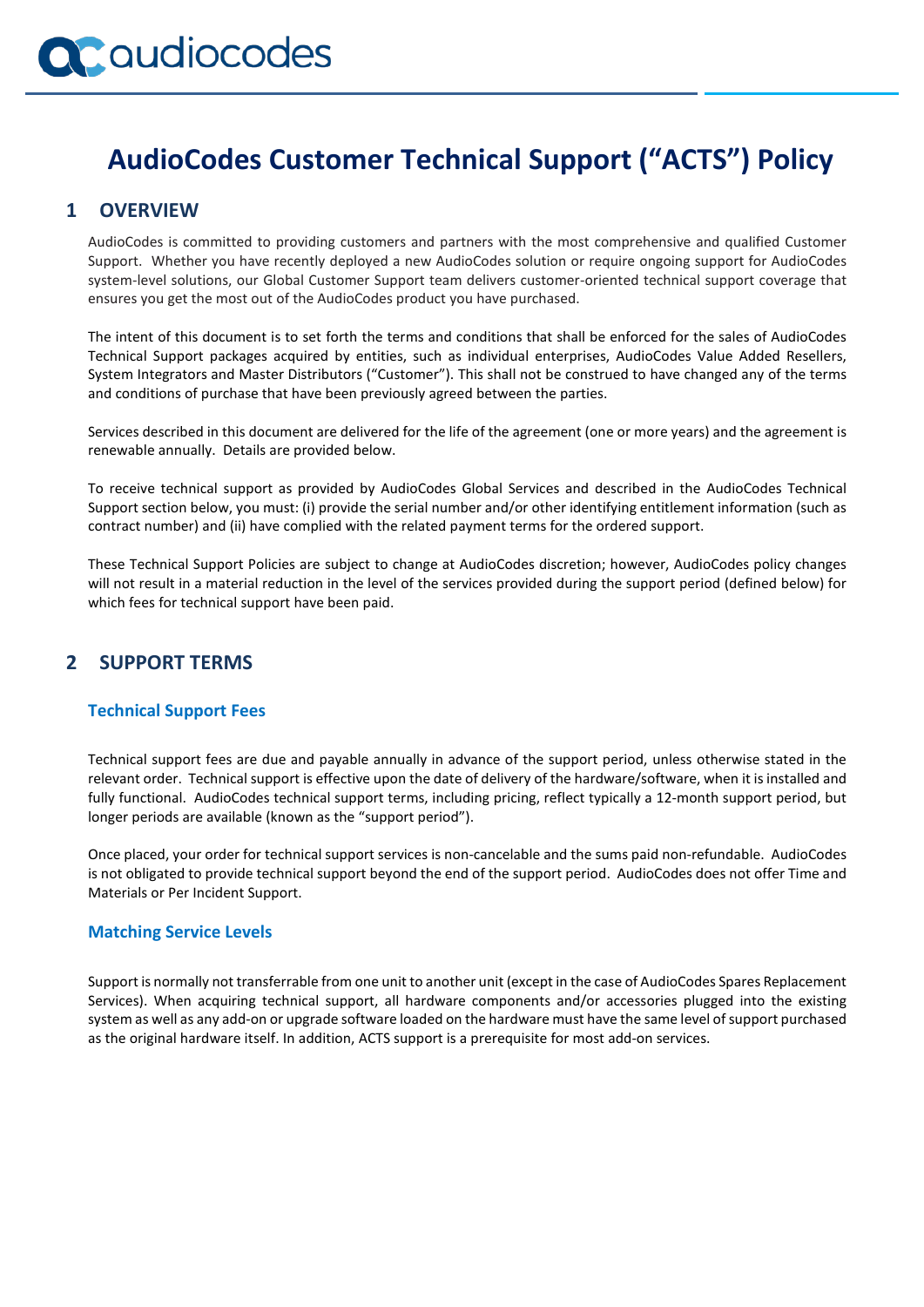## **AudioCodes Customer Technical Support ("ACTS") Policy**

## **1 OVERVIEW**

AudioCodes is committed to providing customers and partners with the most comprehensive and qualified Customer Support. Whether you have recently deployed a new AudioCodes solution or require ongoing support for AudioCodes system-level solutions, our Global Customer Support team delivers customer-oriented technical support coverage that ensures you get the most out of the AudioCodes product you have purchased.

The intent of this document is to set forth the terms and conditions that shall be enforced for the sales of AudioCodes Technical Support packages acquired by entities, such as individual enterprises, AudioCodes Value Added Resellers, System Integrators and Master Distributors ("Customer"). This shall not be construed to have changed any of the terms and conditions of purchase that have been previously agreed between the parties.

Services described in this document are delivered for the life of the agreement (one or more years) and the agreement is renewable annually. Details are provided below.

To receive technical support as provided by AudioCodes Global Services and described in the AudioCodes Technical Support section below, you must: (i) provide the serial number and/or other identifying entitlement information (such as contract number) and (ii) have complied with the related payment terms for the ordered support.

These Technical Support Policies are subject to change at AudioCodes discretion; however, AudioCodes policy changes will not result in a material reduction in the level of the services provided during the support period (defined below) for which fees for technical support have been paid.

### **2 SUPPORT TERMS**

#### **Technical Support Fees**

Technical support fees are due and payable annually in advance of the support period, unless otherwise stated in the relevant order. Technical support is effective upon the date of delivery of the hardware/software, when it is installed and fully functional. AudioCodes technical support terms, including pricing, reflect typically a 12-month support period, but longer periods are available (known as the "support period").

Once placed, your order for technical support services is non-cancelable and the sums paid non-refundable. AudioCodes is not obligated to provide technical support beyond the end of the support period. AudioCodes does not offer Time and Materials or Per Incident Support.

#### **Matching Service Levels**

Support is normally not transferrable from one unit to another unit (except in the case of AudioCodes Spares Replacement Services). When acquiring technical support, all hardware components and/or accessories plugged into the existing system as well as any add-on or upgrade software loaded on the hardware must have the same level of support purchased as the original hardware itself. In addition, ACTS support is a prerequisite for most add-on services.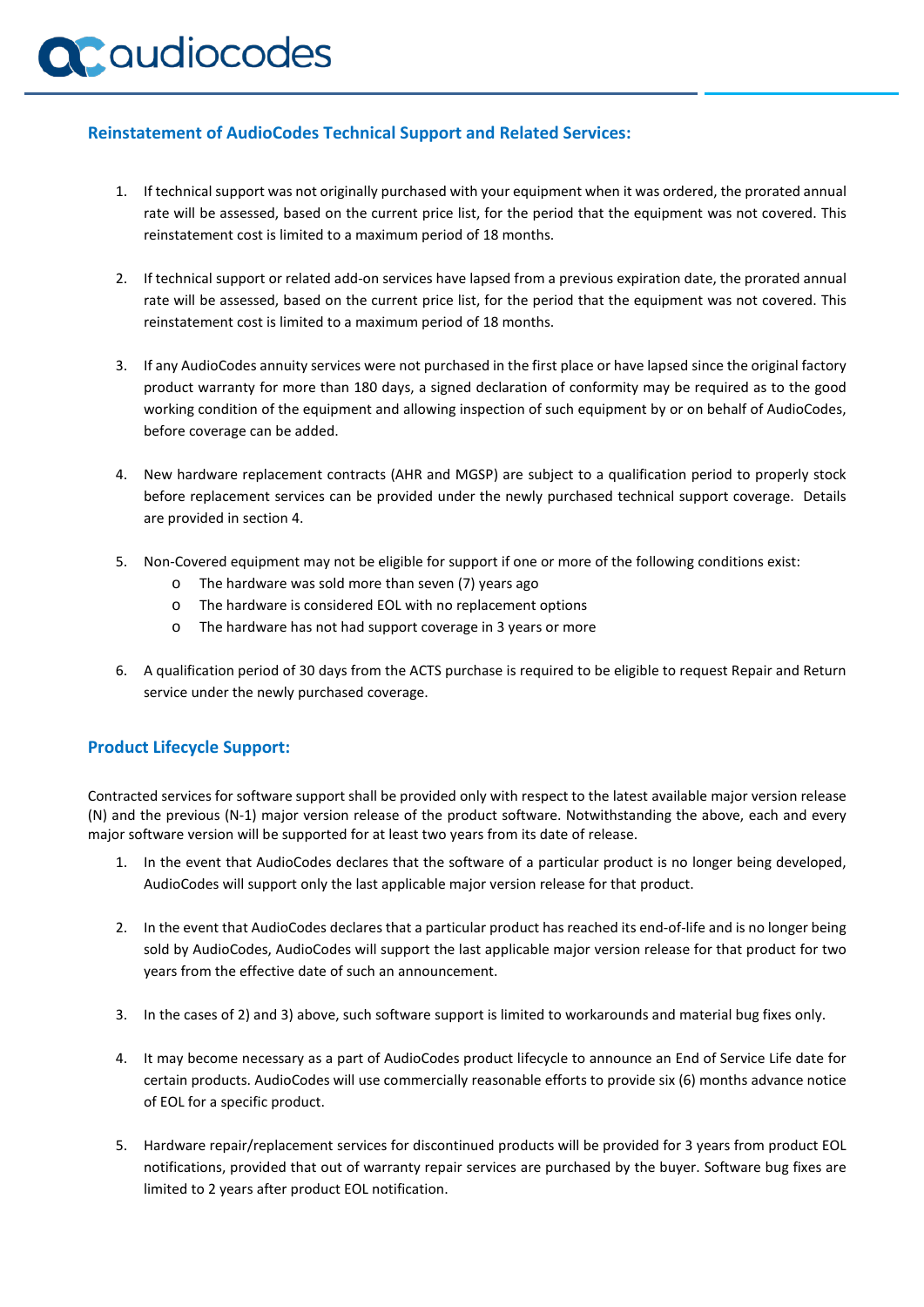# **a** audiocodes

#### **Reinstatement of AudioCodes Technical Support and Related Services:**

- 1. If technical support was not originally purchased with your equipment when it was ordered, the prorated annual rate will be assessed, based on the current price list, for the period that the equipment was not covered. This reinstatement cost is limited to a maximum period of 18 months.
- 2. If technical support or related add-on services have lapsed from a previous expiration date, the prorated annual rate will be assessed, based on the current price list, for the period that the equipment was not covered. This reinstatement cost is limited to a maximum period of 18 months.
- 3. If any AudioCodes annuity services were not purchased in the first place or have lapsed since the original factory product warranty for more than 180 days, a signed declaration of conformity may be required as to the good working condition of the equipment and allowing inspection of such equipment by or on behalf of AudioCodes, before coverage can be added.
- 4. New hardware replacement contracts (AHR and MGSP) are subject to a qualification period to properly stock before replacement services can be provided under the newly purchased technical support coverage. Details are provided in section 4.
- 5. Non-Covered equipment may not be eligible for support if one or more of the following conditions exist:
	- o The hardware was sold more than seven (7) years ago
	- o The hardware is considered EOL with no replacement options
	- o The hardware has not had support coverage in 3 years or more
- 6. A qualification period of 30 days from the ACTS purchase is required to be eligible to request Repair and Return service under the newly purchased coverage.

#### **Product Lifecycle Support:**

Contracted services for software support shall be provided only with respect to the latest available major version release (N) and the previous (N-1) major version release of the product software. Notwithstanding the above, each and every major software version will be supported for at least two years from its date of release.

- 1. In the event that AudioCodes declares that the software of a particular product is no longer being developed, AudioCodes will support only the last applicable major version release for that product.
- 2. In the event that AudioCodes declares that a particular product has reached its end-of-life and is no longer being sold by AudioCodes, AudioCodes will support the last applicable major version release for that product for two years from the effective date of such an announcement.
- 3. In the cases of 2) and 3) above, such software support is limited to workarounds and material bug fixes only.
- 4. It may become necessary as a part of AudioCodes product lifecycle to announce an End of Service Life date for certain products. AudioCodes will use commercially reasonable efforts to provide six (6) months advance notice of EOL for a specific product.
- 5. Hardware repair/replacement services for discontinued products will be provided for 3 years from product EOL notifications, provided that out of warranty repair services are purchased by the buyer. Software bug fixes are limited to 2 years after product EOL notification.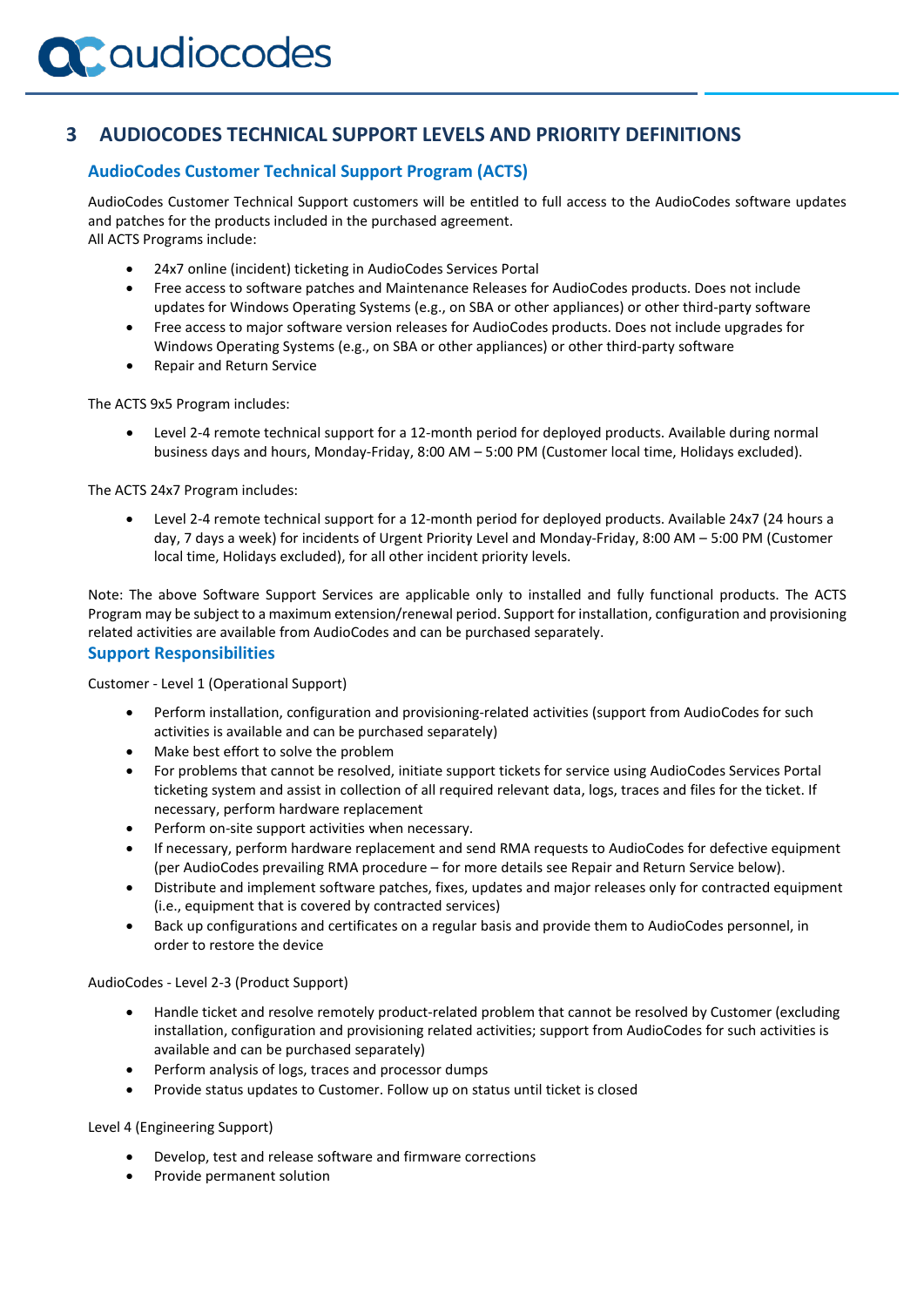## **3 AUDIOCODES TECHNICAL SUPPORT LEVELS AND PRIORITY DEFINITIONS**

#### **AudioCodes Customer Technical Support Program (ACTS)**

AudioCodes Customer Technical Support customers will be entitled to full access to the AudioCodes software updates and patches for the products included in the purchased agreement. All ACTS Programs include:

- 24x7 online (incident) ticketing in AudioCodes Services Portal
- Free access to software patches and Maintenance Releases for AudioCodes products. Does not include updates for Windows Operating Systems (e.g., on SBA or other appliances) or other third-party software
- Free access to major software version releases for AudioCodes products. Does not include upgrades for Windows Operating Systems (e.g., on SBA or other appliances) or other third-party software
- Repair and Return Service

The ACTS 9x5 Program includes:

• Level 2-4 remote technical support for a 12-month period for deployed products. Available during normal business days and hours, Monday-Friday, 8:00 AM – 5:00 PM (Customer local time, Holidays excluded).

The ACTS 24x7 Program includes:

• Level 2-4 remote technical support for a 12-month period for deployed products. Available 24x7 (24 hours a day, 7 days a week) for incidents of Urgent Priority Level and Monday-Friday, 8:00 AM – 5:00 PM (Customer local time, Holidays excluded), for all other incident priority levels.

Note: The above Software Support Services are applicable only to installed and fully functional products. The ACTS Program may be subject to a maximum extension/renewal period. Support for installation, configuration and provisioning related activities are available from AudioCodes and can be purchased separately.

#### **Support Responsibilities**

Customer - Level 1 (Operational Support)

- Perform installation, configuration and provisioning-related activities (support from AudioCodes for such activities is available and can be purchased separately)
- Make best effort to solve the problem
- For problems that cannot be resolved, initiate support tickets for service using AudioCodes Services Portal ticketing system and assist in collection of all required relevant data, logs, traces and files for the ticket. If necessary, perform hardware replacement
- Perform on-site support activities when necessary.
- If necessary, perform hardware replacement and send RMA requests to AudioCodes for defective equipment (per AudioCodes prevailing RMA procedure – for more details [see](http://www.audiocodes.com/objects/HTML/iorder/RMA-Procedure-and-Terms.pdf) Repair and Return Service below).
- Distribute and implement software patches, fixes, updates and major releases only for contracted equipment (i.e., equipment that is covered by contracted services)
- Back up configurations and certificates on a regular basis and provide them to AudioCodes personnel, in order to restore the device

AudioCodes - Level 2-3 (Product Support)

- Handle ticket and resolve remotely product-related problem that cannot be resolved by Customer (excluding installation, configuration and provisioning related activities; support from AudioCodes for such activities is available and can be purchased separately)
- Perform analysis of logs, traces and processor dumps
- Provide status updates to Customer. Follow up on status until ticket is closed

Level 4 (Engineering Support)

- Develop, test and release software and firmware corrections
- Provide permanent solution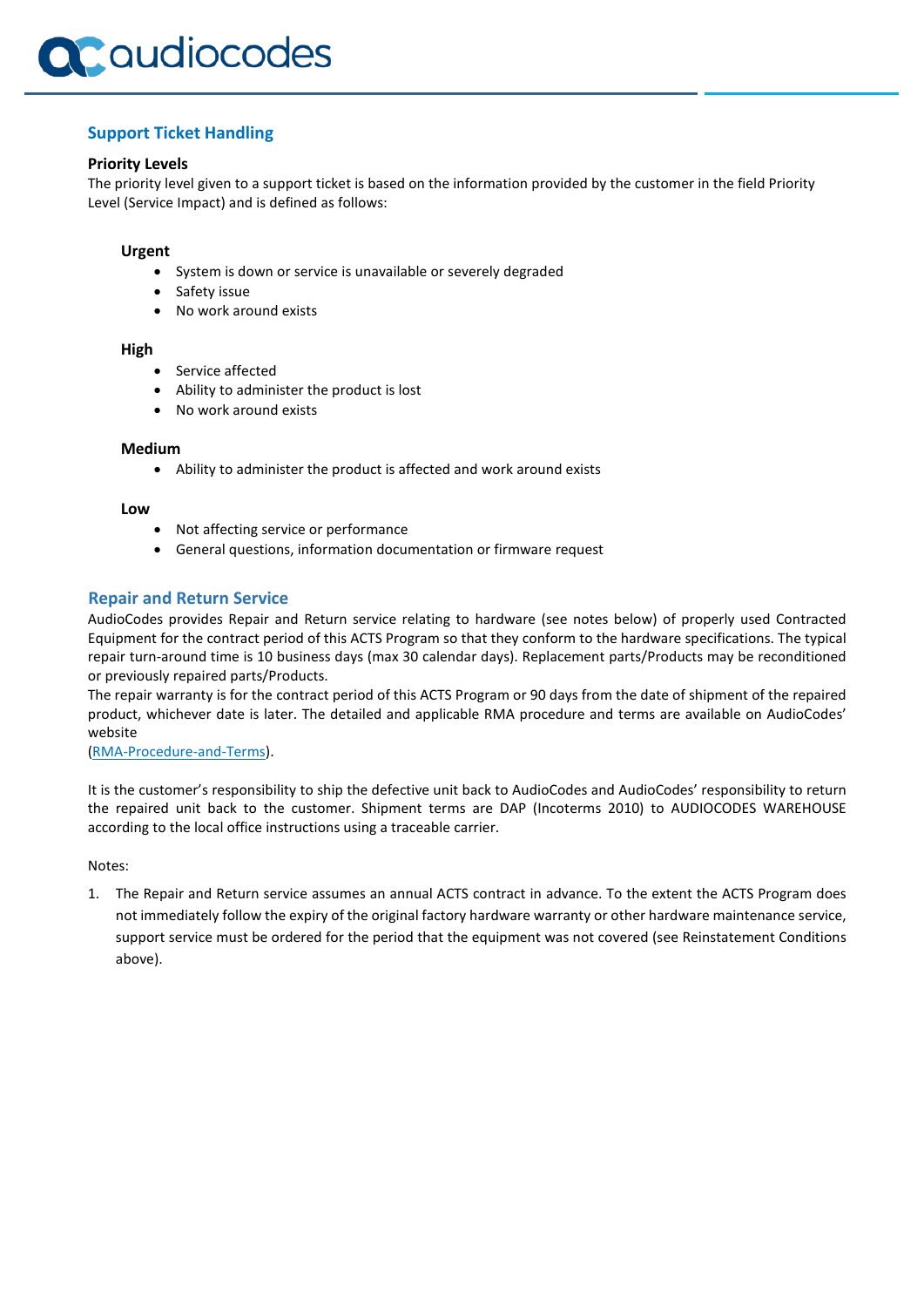

#### **Support Ticket Handling**

#### **Priority Levels**

The priority level given to a support ticket is based on the information provided by the customer in the field Priority Level (Service Impact) and is defined as follows:

#### **Urgent**

- System is down or service is unavailable or severely degraded
- Safety issue
- No work around exists

#### **High**

- Service affected
- Ability to administer the product is lost
- No work around exists

#### **Medium**

• Ability to administer the product is affected and work around exists

#### **Low**

- Not affecting service or performance
- General questions, information documentation or firmware request

#### **Repair and Return Service**

AudioCodes provides Repair and Return service relating to hardware (see notes below) of properly used Contracted Equipment for the contract period of this ACTS Program so that they conform to the hardware specifications. The typical repair turn-around time is 10 business days (max 30 calendar days). Replacement parts/Products may be reconditioned or previously repaired parts/Products.

The repair warranty is for the contract period of this ACTS Program or 90 days from the date of shipment of the repaired product, whichever date is later. The detailed and applicable RMA procedure and terms are available on AudioCodes' website

#### [\(RMA-Procedure-and-Terms\)](https://www.audiocodes.com/media/12747/rma-procedure-and-terms.pdf).

It is the customer's responsibility to ship the defective unit back to AudioCodes and AudioCodes' responsibility to return the repaired unit back to the customer. Shipment terms are DAP (Incoterms 2010) to AUDIOCODES WAREHOUSE according to the local office instructions using a traceable carrier.

Notes:

1. The Repair and Return service assumes an annual ACTS contract in advance. To the extent the ACTS Program does not immediately follow the expiry of the original factory hardware warranty or other hardware maintenance service, support service must be ordered for the period that the equipment was not covered (see Reinstatement Conditions above).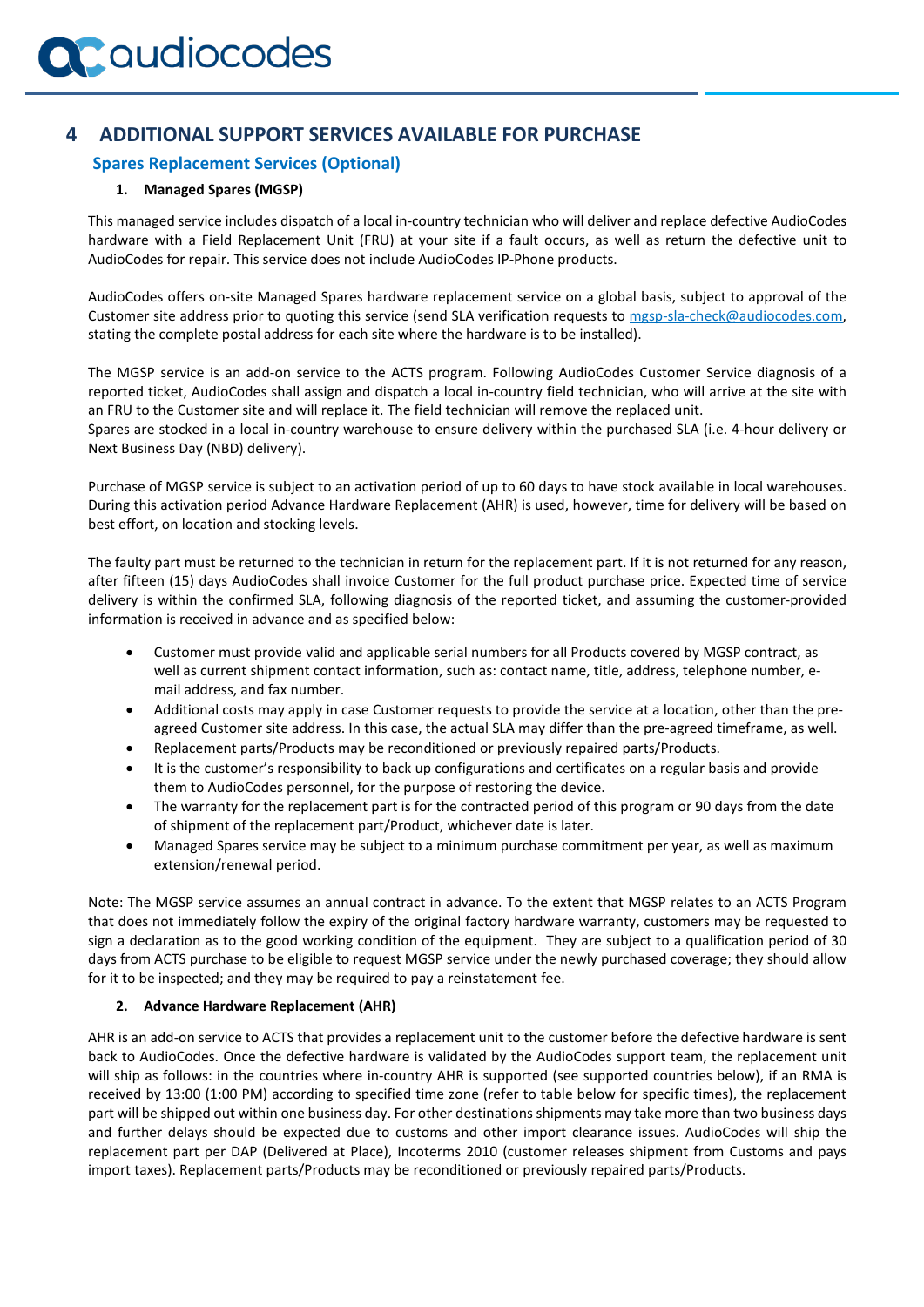## **4 ADDITIONAL SUPPORT SERVICES AVAILABLE FOR PURCHASE**

#### **Spares Replacement Services (Optional)**

#### **1. Managed Spares (MGSP)**

This managed service includes dispatch of a local in-country technician who will deliver and replace defective AudioCodes hardware with a Field Replacement Unit (FRU) at your site if a fault occurs, as well as return the defective unit to AudioCodes for repair. This service does not include AudioCodes IP-Phone products.

AudioCodes offers on-site Managed Spares hardware replacement service on a global basis, subject to approval of the Customer site address prior to quoting this service (send SLA verification requests to [mgsp-sla-check@audiocodes.com,](mailto:mgsp-sla-check@audiocodes.com) stating the complete postal address for each site where the hardware is to be installed).

The MGSP service is an add-on service to the ACTS program. Following AudioCodes Customer Service diagnosis of a reported ticket, AudioCodes shall assign and dispatch a local in-country field technician, who will arrive at the site with an FRU to the Customer site and will replace it. The field technician will remove the replaced unit. Spares are stocked in a local in-country warehouse to ensure delivery within the purchased SLA (i.e. 4-hour delivery or Next Business Day (NBD) delivery).

Purchase of MGSP service is subject to an activation period of up to 60 days to have stock available in local warehouses. During this activation period Advance Hardware Replacement (AHR) is used, however, time for delivery will be based on best effort, on location and stocking levels.

The faulty part must be returned to the technician in return for the replacement part. If it is not returned for any reason, after fifteen (15) days AudioCodes shall invoice Customer for the full product purchase price. Expected time of service delivery is within the confirmed SLA, following diagnosis of the reported ticket, and assuming the customer-provided information is received in advance and as specified below:

- Customer must provide valid and applicable serial numbers for all Products covered by MGSP contract, as well as current shipment contact information, such as: contact name, title, address, telephone number, email address, and fax number.
- Additional costs may apply in case Customer requests to provide the service at a location, other than the preagreed Customer site address. In this case, the actual SLA may differ than the pre-agreed timeframe, as well.
- Replacement parts/Products may be reconditioned or previously repaired parts/Products.
- It is the customer's responsibility to back up configurations and certificates on a regular basis and provide them to AudioCodes personnel, for the purpose of restoring the device.
- The warranty for the replacement part is for the contracted period of this program or 90 days from the date of shipment of the replacement part/Product, whichever date is later.
- Managed Spares service may be subject to a minimum purchase commitment per year, as well as maximum extension/renewal period.

Note: The MGSP service assumes an annual contract in advance. To the extent that MGSP relates to an ACTS Program that does not immediately follow the expiry of the original factory hardware warranty, customers may be requested to sign a declaration as to the good working condition of the equipment. They are subject to a qualification period of 30 days from ACTS purchase to be eligible to request MGSP service under the newly purchased coverage; they should allow for it to be inspected; and they may be required to pay a reinstatement fee.

#### **2. Advance Hardware Replacement (AHR)**

AHR is an add-on service to ACTS that provides a replacement unit to the customer before the defective hardware is sent back to AudioCodes. Once the defective hardware is validated by the AudioCodes support team, the replacement unit will ship as follows: in the countries where in-country AHR is supported (see supported countries below), if an RMA is received by 13:00 (1:00 PM) according to specified time zone (refer to table below for specific times), the replacement part will be shipped out within one business day. For other destinations shipments may take more than two business days and further delays should be expected due to customs and other import clearance issues. AudioCodes will ship the replacement part per DAP (Delivered at Place), Incoterms 2010 (customer releases shipment from Customs and pays import taxes). Replacement parts/Products may be reconditioned or previously repaired parts/Products.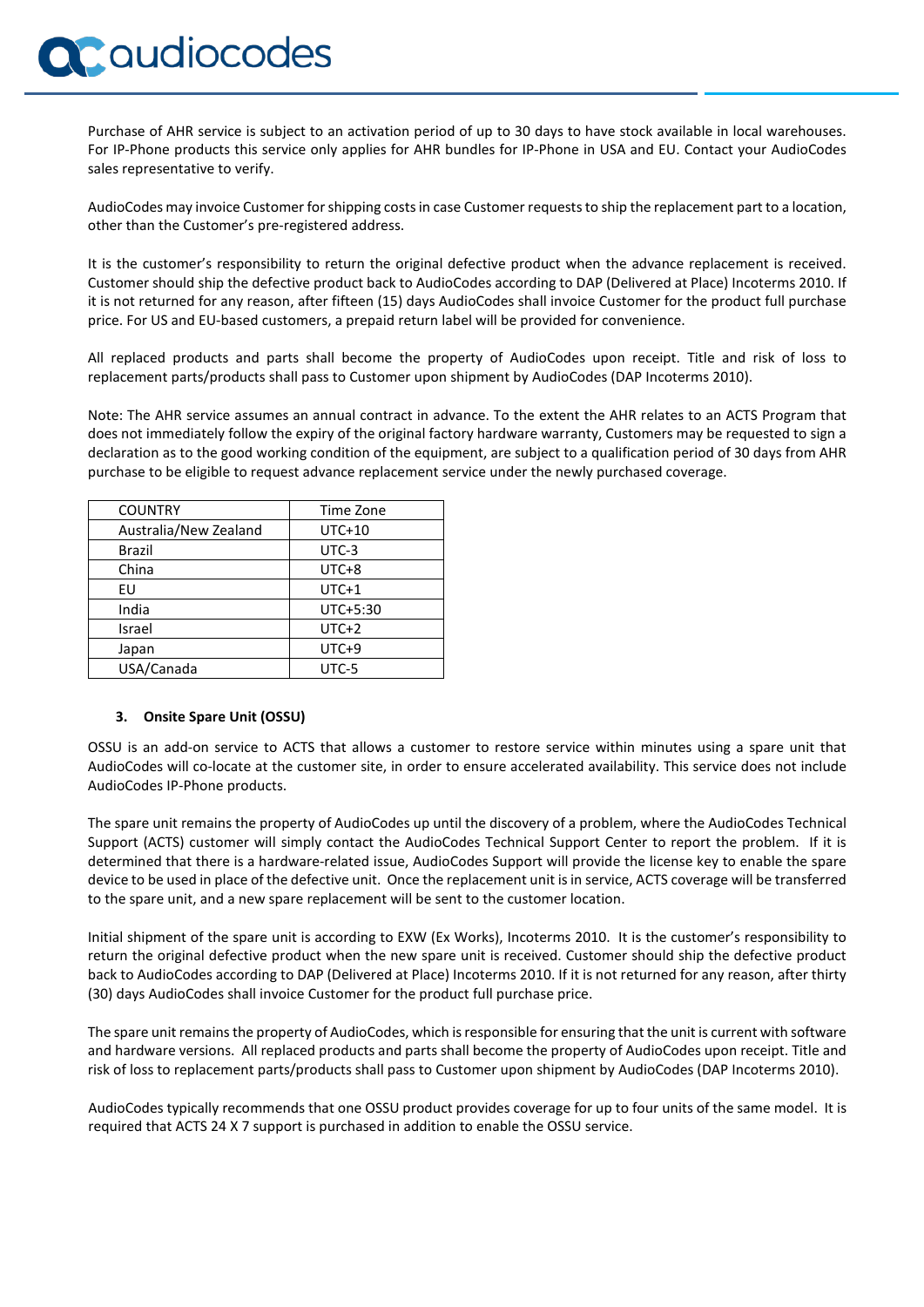## Caudiocodes

Purchase of AHR service is subject to an activation period of up to 30 days to have stock available in local warehouses. For IP-Phone products this service only applies for AHR bundles for IP-Phone in USA and EU. Contact your AudioCodes sales representative to verify.

AudioCodes may invoice Customer for shipping costs in case Customer requests to ship the replacement part to a location, other than the Customer's pre-registered address.

It is the customer's responsibility to return the original defective product when the advance replacement is received. Customer should ship the defective product back to AudioCodes according to DAP (Delivered at Place) Incoterms 2010. If it is not returned for any reason, after fifteen (15) days AudioCodes shall invoice Customer for the product full purchase price. For US and EU-based customers, a prepaid return label will be provided for convenience.

All replaced products and parts shall become the property of AudioCodes upon receipt. Title and risk of loss to replacement parts/products shall pass to Customer upon shipment by AudioCodes (DAP Incoterms 2010).

Note: The AHR service assumes an annual contract in advance. To the extent the AHR relates to an ACTS Program that does not immediately follow the expiry of the original factory hardware warranty, Customers may be requested to sign a declaration as to the good working condition of the equipment, are subject to a qualification period of 30 days from AHR purchase to be eligible to request advance replacement service under the newly purchased coverage.

| <b>COUNTRY</b>        | Time Zone |
|-----------------------|-----------|
| Australia/New Zealand | $UTC+10$  |
| Brazil                | UTC-3     |
| China                 | $UTC+8$   |
| EU                    | $UTC+1$   |
| India                 | UTC+5:30  |
| Israel                | $UTC+2$   |
| Japan                 | $UTC+9$   |
| USA/Canada            | UTC-5     |

#### **3. Onsite Spare Unit (OSSU)**

OSSU is an add-on service to ACTS that allows a customer to restore service within minutes using a spare unit that AudioCodes will co-locate at the customer site, in order to ensure accelerated availability. This service does not include AudioCodes IP-Phone products.

The spare unit remains the property of AudioCodes up until the discovery of a problem, where the AudioCodes Technical Support (ACTS) customer will simply contact the AudioCodes Technical Support Center to report the problem. If it is determined that there is a hardware-related issue, AudioCodes Support will provide the license key to enable the spare device to be used in place of the defective unit. Once the replacement unit is in service, ACTS coverage will be transferred to the spare unit, and a new spare replacement will be sent to the customer location.

Initial shipment of the spare unit is according to EXW (Ex Works), Incoterms 2010. It is the customer's responsibility to return the original defective product when the new spare unit is received. Customer should ship the defective product back to AudioCodes according to DAP (Delivered at Place) Incoterms 2010. If it is not returned for any reason, after thirty (30) days AudioCodes shall invoice Customer for the product full purchase price.

The spare unit remains the property of AudioCodes, which isresponsible for ensuring that the unit is current with software and hardware versions. All replaced products and parts shall become the property of AudioCodes upon receipt. Title and risk of loss to replacement parts/products shall pass to Customer upon shipment by AudioCodes (DAP Incoterms 2010).

AudioCodes typically recommends that one OSSU product provides coverage for up to four units of the same model. It is required that ACTS 24 X 7 support is purchased in addition to enable the OSSU service.